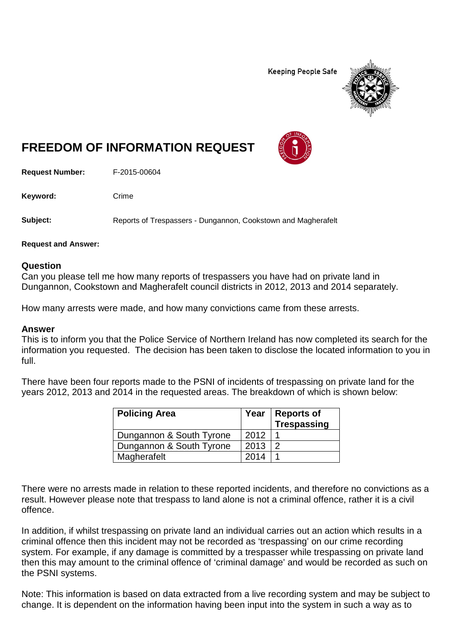**Keeping People Safe** 



## **FREEDOM OF INFORMATION REQUEST**

**Request Number:** F-2015-00604

Keyword: Crime

**Subject:** Reports of Trespassers - Dungannon, Cookstown and Magherafelt

**Request and Answer:**

## **Question**

Can you please tell me how many reports of trespassers you have had on private land in Dungannon, Cookstown and Magherafelt council districts in 2012, 2013 and 2014 separately.

How many arrests were made, and how many convictions came from these arrests.

## **Answer**

This is to inform you that the Police Service of Northern Ireland has now completed its search for the information you requested. The decision has been taken to disclose the located information to you in full.

There have been four reports made to the PSNI of incidents of trespassing on private land for the years 2012, 2013 and 2014 in the requested areas. The breakdown of which is shown below:

| <b>Policing Area</b>     |      | Year   Reports of<br><b>Trespassing</b> |
|--------------------------|------|-----------------------------------------|
| Dungannon & South Tyrone | 2012 |                                         |
| Dungannon & South Tyrone | 2013 |                                         |
| Magherafelt              | 2014 |                                         |

There were no arrests made in relation to these reported incidents, and therefore no convictions as a result. However please note that trespass to land alone is not a criminal offence, rather it is a civil offence.

In addition, if whilst trespassing on private land an individual carries out an action which results in a criminal offence then this incident may not be recorded as 'trespassing' on our crime recording system. For example, if any damage is committed by a trespasser while trespassing on private land then this may amount to the criminal offence of 'criminal damage' and would be recorded as such on the PSNI systems.

Note: This information is based on data extracted from a live recording system and may be subject to change. It is dependent on the information having been input into the system in such a way as to